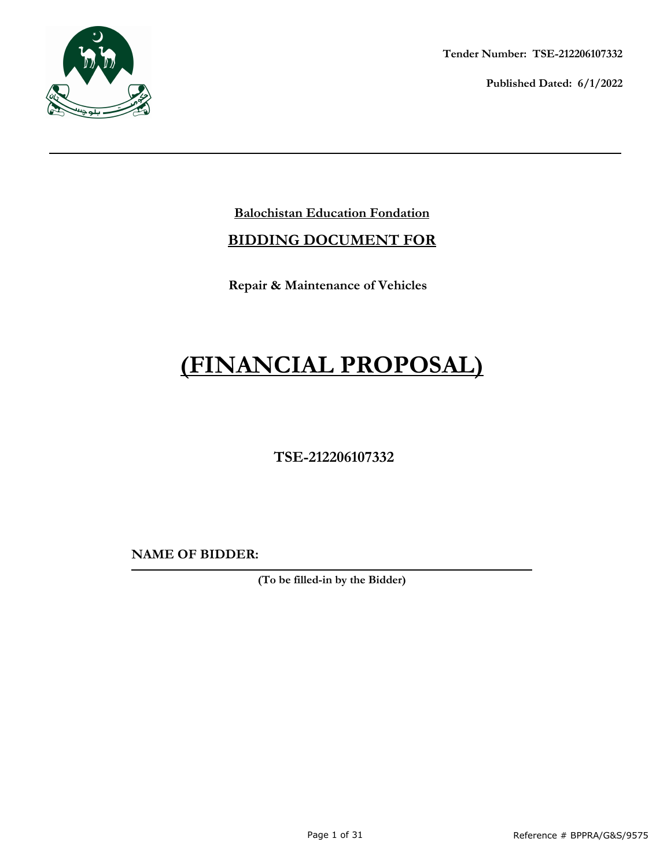

**Tender Number: TSE-212206107332**

**Published Dated: 6/1/2022** 

# **Balochistan Education Fondation**

# **BIDDING DOCUMENT FOR**

**Repair & Maintenance of Vehicles**

# **(FINANCIAL PROPOSAL)**

 **TSE-212206107332**

**NAME OF BIDDER:**

**(To be filled-in by the Bidder)**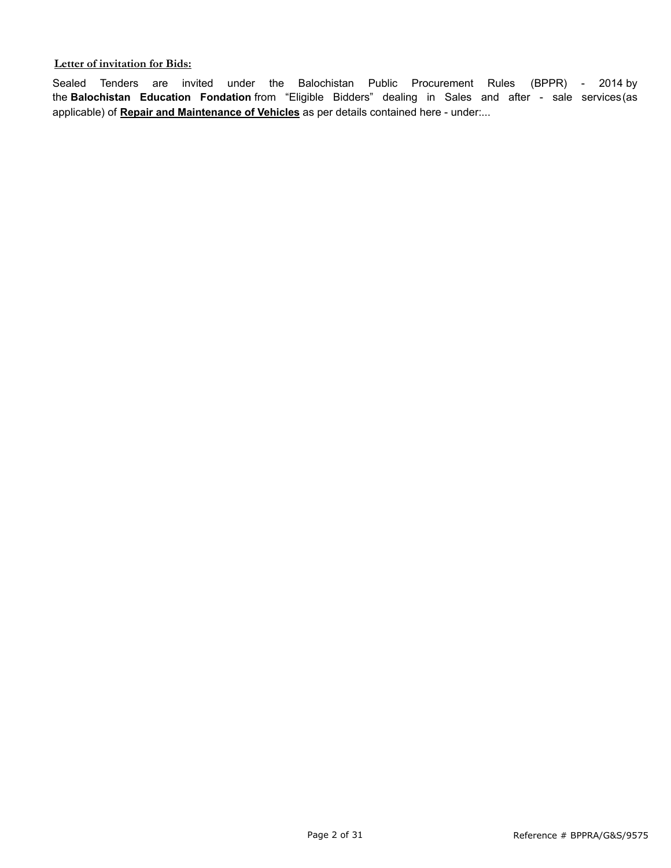#### **Letter of invitation for Bids:**

Sealed Tenders are invited under the Balochistan Public Procurement Rules (BPPR) - 2014 by the **Balochistan Education Fondation** from "Eligible Bidders" dealing in Sales and after - sale services(as applicable) of **Repair and Maintenance of Vehicles** as per details contained here - under:...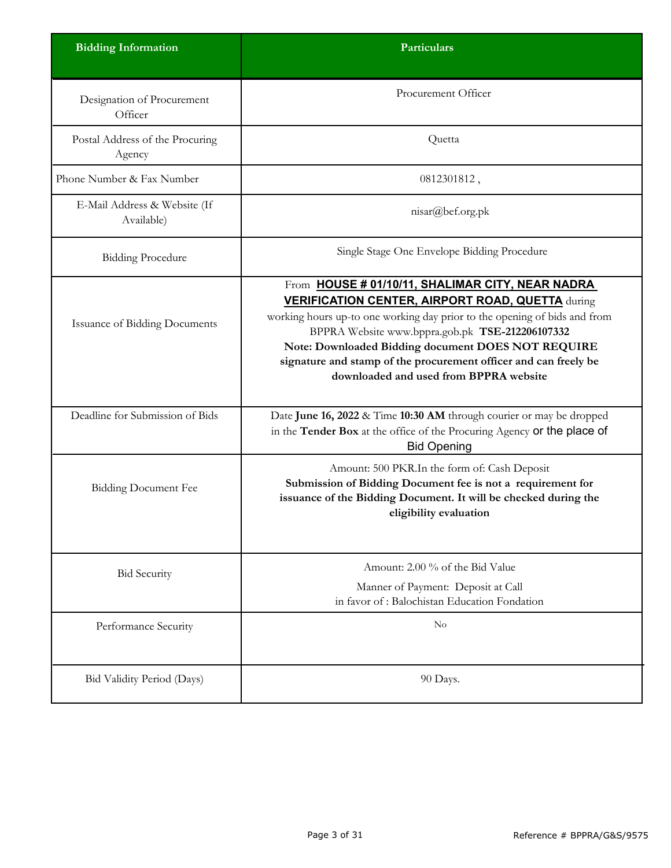| <b>Bidding Information</b>                 | Particulars                                                                                                                                                                                                                                                                                                                                                                                                     |
|--------------------------------------------|-----------------------------------------------------------------------------------------------------------------------------------------------------------------------------------------------------------------------------------------------------------------------------------------------------------------------------------------------------------------------------------------------------------------|
| Designation of Procurement<br>Officer      | Procurement Officer                                                                                                                                                                                                                                                                                                                                                                                             |
| Postal Address of the Procuring<br>Agency  | Quetta                                                                                                                                                                                                                                                                                                                                                                                                          |
| Phone Number & Fax Number                  | 0812301812,                                                                                                                                                                                                                                                                                                                                                                                                     |
| E-Mail Address & Website (If<br>Available) | nisar@bef.org.pk                                                                                                                                                                                                                                                                                                                                                                                                |
| <b>Bidding Procedure</b>                   | Single Stage One Envelope Bidding Procedure                                                                                                                                                                                                                                                                                                                                                                     |
| <b>Issuance of Bidding Documents</b>       | From HOUSE # 01/10/11, SHALIMAR CITY, NEAR NADRA<br><b>VERIFICATION CENTER, AIRPORT ROAD, QUETTA during</b><br>working hours up-to one working day prior to the opening of bids and from<br>BPPRA Website www.bppra.gob.pk TSE-212206107332<br>Note: Downloaded Bidding document DOES NOT REQUIRE<br>signature and stamp of the procurement officer and can freely be<br>downloaded and used from BPPRA website |
| Deadline for Submission of Bids            | Date June 16, 2022 & Time 10:30 AM through courier or may be dropped<br>in the Tender Box at the office of the Procuring Agency or the place of<br><b>Bid Opening</b>                                                                                                                                                                                                                                           |
| <b>Bidding Document Fee</b>                | Amount: 500 PKR.In the form of: Cash Deposit<br>Submission of Bidding Document fee is not a requirement for<br>issuance of the Bidding Document. It will be checked during the<br>eligibility evaluation                                                                                                                                                                                                        |
| <b>Bid Security</b>                        | Amount: 2.00 % of the Bid Value                                                                                                                                                                                                                                                                                                                                                                                 |
|                                            | Manner of Payment: Deposit at Call<br>in favor of: Balochistan Education Fondation                                                                                                                                                                                                                                                                                                                              |
| Performance Security                       | No                                                                                                                                                                                                                                                                                                                                                                                                              |
| Bid Validity Period (Days)                 | 90 Days.                                                                                                                                                                                                                                                                                                                                                                                                        |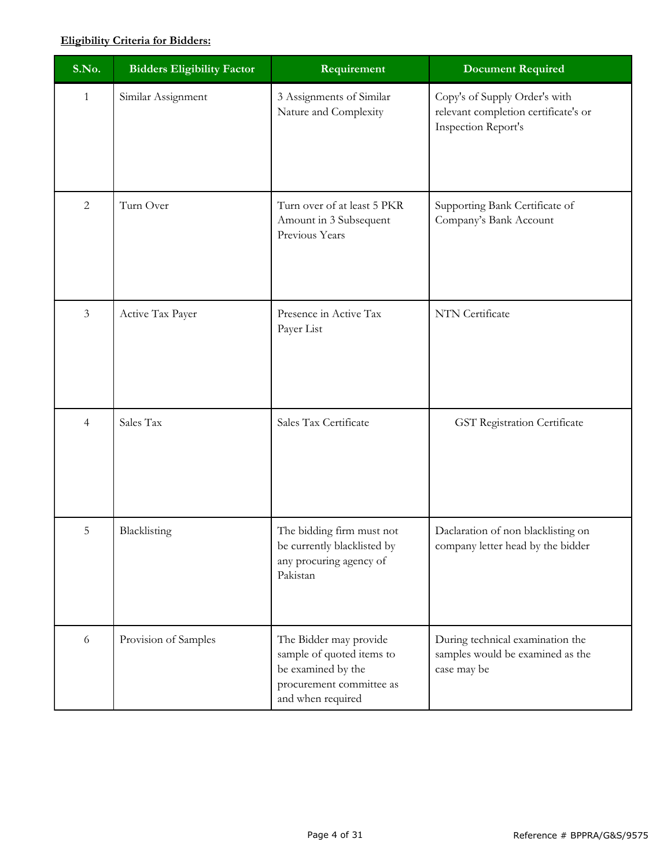# **Eligibility Criteria for Bidders:**

| S.No.          | <b>Bidders Eligibility Factor</b> | Requirement                                                                                                                | <b>Document Required</b>                                                                            |
|----------------|-----------------------------------|----------------------------------------------------------------------------------------------------------------------------|-----------------------------------------------------------------------------------------------------|
| $\mathbf{1}$   | Similar Assignment                | 3 Assignments of Similar<br>Nature and Complexity                                                                          | Copy's of Supply Order's with<br>relevant completion certificate's or<br><b>Inspection Report's</b> |
| $\overline{2}$ | Turn Over                         | Turn over of at least 5 PKR<br>Amount in 3 Subsequent<br>Previous Years                                                    | Supporting Bank Certificate of<br>Company's Bank Account                                            |
| $\mathfrak{Z}$ | Active Tax Payer                  | Presence in Active Tax<br>Payer List                                                                                       | NTN Certificate                                                                                     |
| $\overline{4}$ | Sales Tax                         | Sales Tax Certificate                                                                                                      | GST Registration Certificate                                                                        |
| 5              | Blacklisting                      | The bidding firm must not<br>be currently blacklisted by<br>any procuring agency of<br>Pakistan                            | Daclaration of non blacklisting on<br>company letter head by the bidder                             |
| 6              | Provision of Samples              | The Bidder may provide<br>sample of quoted items to<br>be examined by the<br>procurement committee as<br>and when required | During technical examination the<br>samples would be examined as the<br>case may be                 |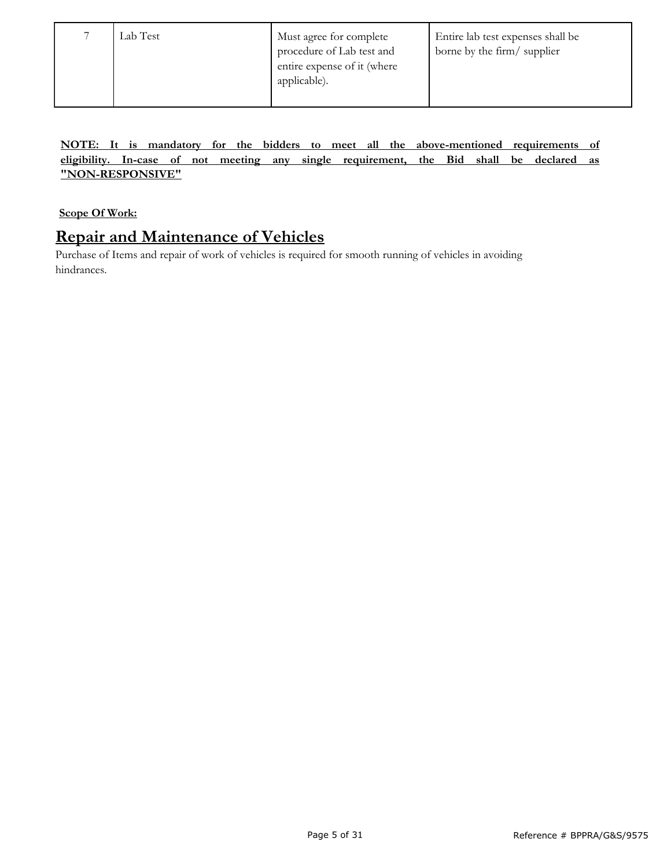| Lab Test | Must agree for complete<br>procedure of Lab test and<br>entire expense of it (where<br>applicable). | Entire lab test expenses shall be<br>borne by the firm/supplier |
|----------|-----------------------------------------------------------------------------------------------------|-----------------------------------------------------------------|
|          |                                                                                                     |                                                                 |

**NOTE: It is mandatory for the bidders to meet all the above-mentioned requirements of eligibility. In-case of not meeting any single requirement, the Bid shall be declared as "NON-RESPONSIVE"**

**Scope Of Work:**

# **Repair and Maintenance of Vehicles**

Purchase of Items and repair of work of vehicles is required for smooth running of vehicles in avoiding hindrances.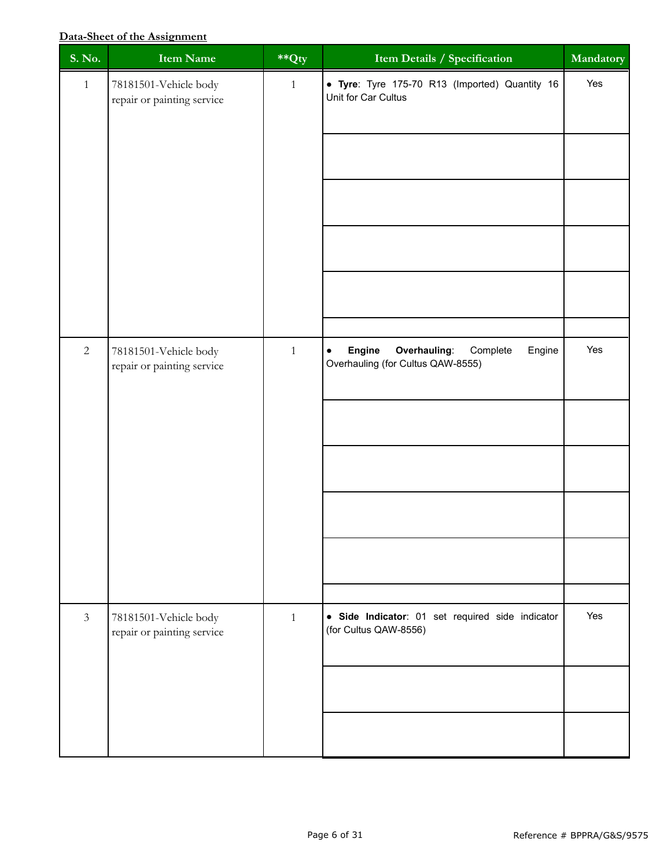# **Data-Sheet of the Assignment**

| S. No.         | <b>Item Name</b>                                    | $*$ Qty      | Item Details / Specification                                                                   | Mandatory |
|----------------|-----------------------------------------------------|--------------|------------------------------------------------------------------------------------------------|-----------|
| $\mathbf{1}$   | 78181501-Vehicle body<br>repair or painting service | $\mathbf{1}$ | • Tyre: Tyre 175-70 R13 (Imported) Quantity 16<br>Unit for Car Cultus                          | Yes       |
|                |                                                     |              |                                                                                                |           |
|                |                                                     |              |                                                                                                |           |
|                |                                                     |              |                                                                                                |           |
|                |                                                     |              |                                                                                                |           |
|                |                                                     |              |                                                                                                |           |
| $\sqrt{2}$     | 78181501-Vehicle body<br>repair or painting service | $\mathbf{1}$ | Engine<br>Overhauling:<br>Engine<br>Complete<br>$\bullet$<br>Overhauling (for Cultus QAW-8555) | Yes       |
|                |                                                     |              |                                                                                                |           |
|                |                                                     |              |                                                                                                |           |
|                |                                                     |              |                                                                                                |           |
|                |                                                     |              |                                                                                                |           |
|                |                                                     |              |                                                                                                |           |
| $\mathfrak{Z}$ | 78181501-Vehicle body<br>repair or painting service | $\mathbf{1}$ | · Side Indicator: 01 set required side indicator<br>(for Cultus QAW-8556)                      | Yes       |
|                |                                                     |              |                                                                                                |           |
|                |                                                     |              |                                                                                                |           |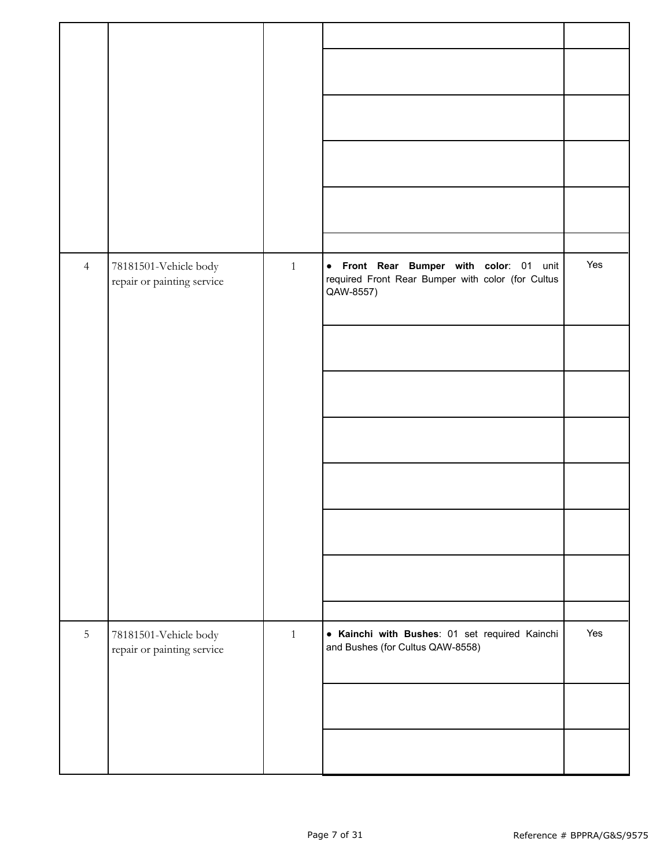| $\overline{4}$ | 78181501-Vehicle body<br>repair or painting service | $1\,$        | • Front Rear Bumper with color: 01 unit<br>required Front Rear Bumper with color (for Cultus<br>QAW-8557) | Yes |
|----------------|-----------------------------------------------------|--------------|-----------------------------------------------------------------------------------------------------------|-----|
| $\overline{5}$ | 78181501-Vehicle body<br>repair or painting service | $\mathbf{1}$ | • Kainchi with Bushes: 01 set required Kainchi<br>and Bushes (for Cultus QAW-8558)                        | Yes |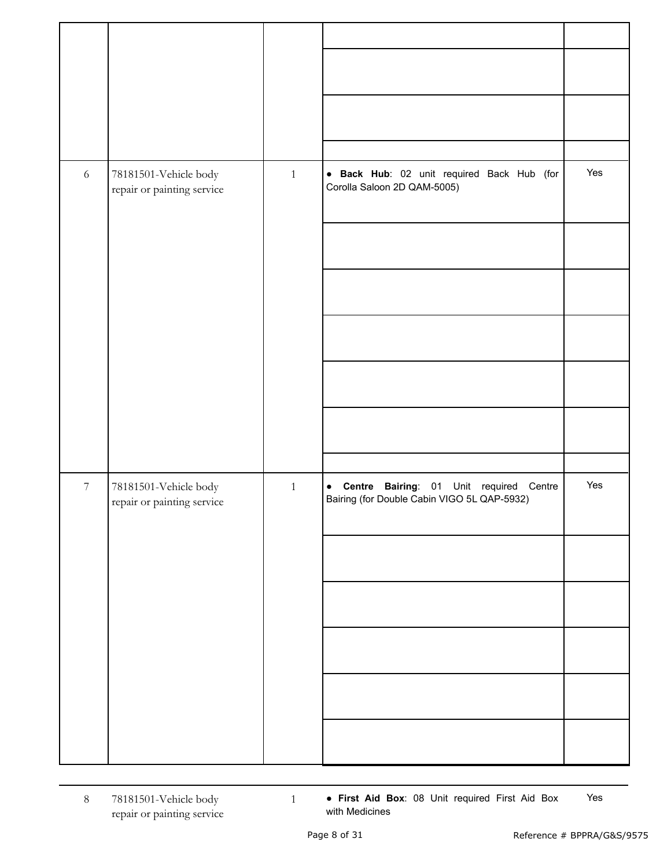| 6                | 78181501-Vehicle body<br>repair or painting service | $\mathbf{1}$ | · Back Hub: 02 unit required Back Hub (for<br>Corolla Saloon 2D QAM-5005)                   | Yes |
|------------------|-----------------------------------------------------|--------------|---------------------------------------------------------------------------------------------|-----|
| $\boldsymbol{7}$ | 78181501-Vehicle body<br>repair or painting service | $\mathbf{1}$ | Bairing: 01 Unit required Centre<br>• Centre<br>Bairing (for Double Cabin VIGO 5L QAP-5932) | Yes |

8 78181501-Vehicle body repair or painting service  1 ● **First Aid Box**: 08 Unit required First Aid Box with Medicines Yes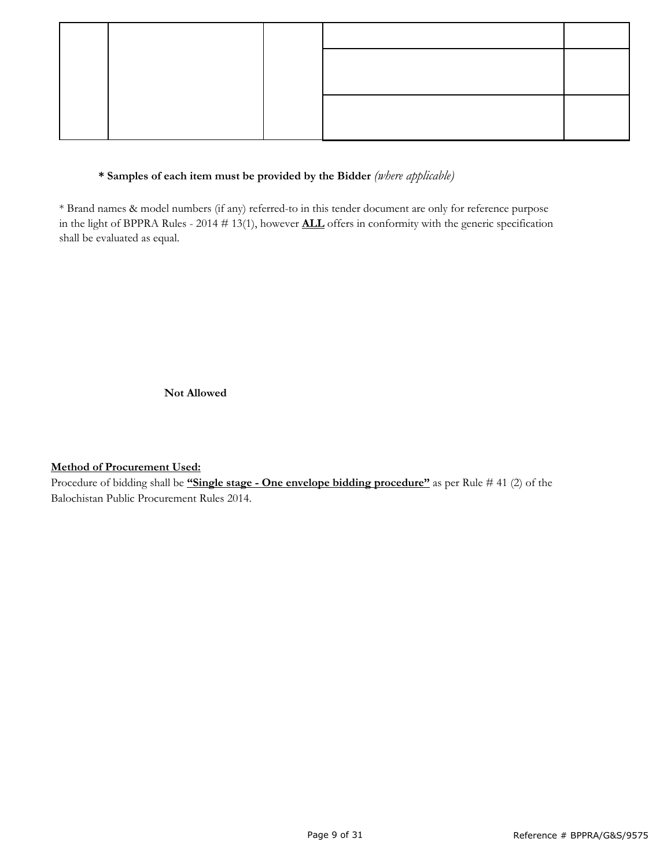# **\* Samples of each item must be provided by the Bidder** *(where applicable)*

\* Brand names & model numbers (if any) referred-to in this tender document are only for reference purpose in the light of BPPRA Rules - 2014 # 13(1), however **ALL** offers in conformity with the generic specification shall be evaluated as equal.

**Not Allowed**

## **Method of Procurement Used:**

Procedure of bidding shall be **"Single stage - One envelope bidding procedure"** as per Rule # 41 (2) of the Balochistan Public Procurement Rules 2014.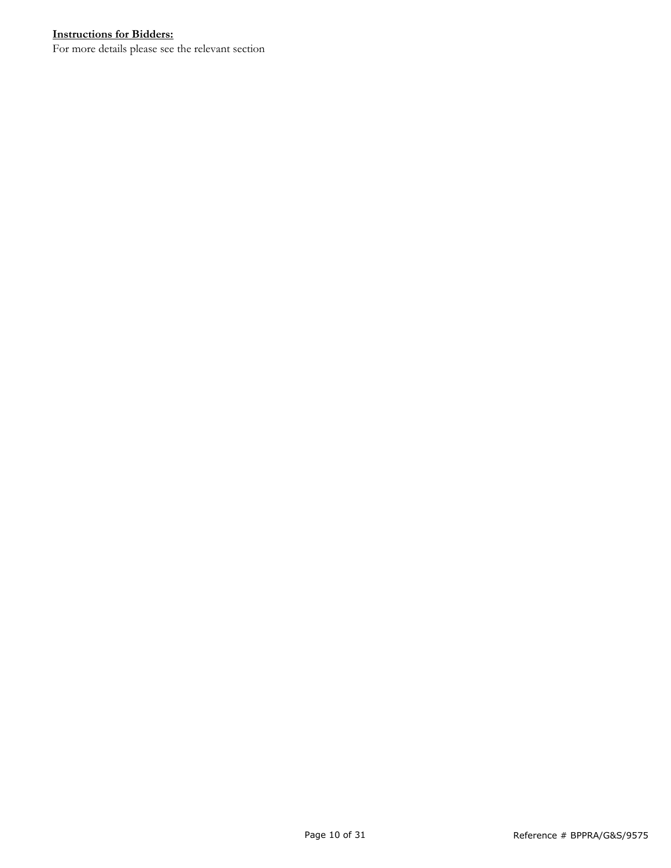# **Instructions for Bidders:**

For more details please see the relevant section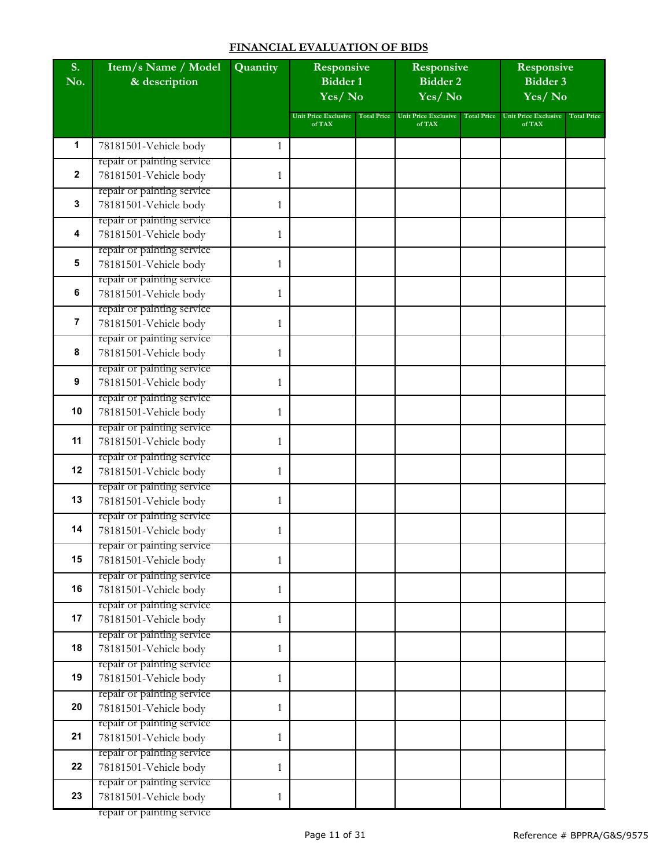#### **FINANCIAL EVALUATION OF BIDS**

| S.<br>No.      | Item/s Name / Model<br>& description                | Quantity     | Responsive<br><b>Bidder 1</b><br>Yes/No |                    | Responsive<br><b>Bidder 2</b><br>Yes/No |                    | Responsive<br>Bidder 3<br>Yes/No      |                    |
|----------------|-----------------------------------------------------|--------------|-----------------------------------------|--------------------|-----------------------------------------|--------------------|---------------------------------------|--------------------|
|                |                                                     |              | <b>Unit Price Exclusive</b><br>of TAX   | <b>Total Price</b> | <b>Unit Price Exclusive</b><br>of TAX   | <b>Total Price</b> | <b>Unit Price Exclusive</b><br>of TAX | <b>Total Price</b> |
| 1              | 78181501-Vehicle body                               | 1            |                                         |                    |                                         |                    |                                       |                    |
|                | repair or painting service                          |              |                                         |                    |                                         |                    |                                       |                    |
| $\mathbf{2}$   | 78181501-Vehicle body                               | 1            |                                         |                    |                                         |                    |                                       |                    |
| 3              | repair or painting service                          |              |                                         |                    |                                         |                    |                                       |                    |
|                | 78181501-Vehicle body<br>repair or painting service | 1            |                                         |                    |                                         |                    |                                       |                    |
| 4              | 78181501-Vehicle body                               | 1            |                                         |                    |                                         |                    |                                       |                    |
|                | repair or painting service                          |              |                                         |                    |                                         |                    |                                       |                    |
| 5              | 78181501-Vehicle body                               | 1            |                                         |                    |                                         |                    |                                       |                    |
|                | repair or painting service                          |              |                                         |                    |                                         |                    |                                       |                    |
| 6              | 78181501-Vehicle body                               | 1            |                                         |                    |                                         |                    |                                       |                    |
|                | repair or painting service                          |              |                                         |                    |                                         |                    |                                       |                    |
| $\overline{7}$ | 78181501-Vehicle body                               | 1            |                                         |                    |                                         |                    |                                       |                    |
| 8              | repair or painting service<br>78181501-Vehicle body | 1            |                                         |                    |                                         |                    |                                       |                    |
|                | repair or painting service                          |              |                                         |                    |                                         |                    |                                       |                    |
| 9              | 78181501-Vehicle body                               | 1            |                                         |                    |                                         |                    |                                       |                    |
|                | repair or painting service                          |              |                                         |                    |                                         |                    |                                       |                    |
| 10             | 78181501-Vehicle body                               | 1            |                                         |                    |                                         |                    |                                       |                    |
|                | repair or painting service                          |              |                                         |                    |                                         |                    |                                       |                    |
| 11             | 78181501-Vehicle body                               | 1            |                                         |                    |                                         |                    |                                       |                    |
| 12             | repair or painting service<br>78181501-Vehicle body | 1            |                                         |                    |                                         |                    |                                       |                    |
|                | repair or painting service                          |              |                                         |                    |                                         |                    |                                       |                    |
| 13             | 78181501-Vehicle body                               | 1            |                                         |                    |                                         |                    |                                       |                    |
|                | repair or painting service                          |              |                                         |                    |                                         |                    |                                       |                    |
| 14             | 78181501-Vehicle body                               | 1            |                                         |                    |                                         |                    |                                       |                    |
|                | repair or painting service                          |              |                                         |                    |                                         |                    |                                       |                    |
| 15             | 78181501-Vehicle body                               | 1            |                                         |                    |                                         |                    |                                       |                    |
| 16             | repair or painting service                          |              |                                         |                    |                                         |                    |                                       |                    |
|                | 78181501-Vehicle body<br>repair or painting service | $\mathbf{1}$ |                                         |                    |                                         |                    |                                       |                    |
| 17             | 78181501-Vehicle body                               | 1            |                                         |                    |                                         |                    |                                       |                    |
|                | repair or painting service                          |              |                                         |                    |                                         |                    |                                       |                    |
| 18             | 78181501-Vehicle body                               | 1            |                                         |                    |                                         |                    |                                       |                    |
|                | repair or painting service                          |              |                                         |                    |                                         |                    |                                       |                    |
| 19             | 78181501-Vehicle body                               | 1            |                                         |                    |                                         |                    |                                       |                    |
|                | repair or painting service                          |              |                                         |                    |                                         |                    |                                       |                    |
| 20             | 78181501-Vehicle body                               | 1            |                                         |                    |                                         |                    |                                       |                    |
| 21             | repair or painting service<br>78181501-Vehicle body | 1            |                                         |                    |                                         |                    |                                       |                    |
|                | repair or painting service                          |              |                                         |                    |                                         |                    |                                       |                    |
| 22             | 78181501-Vehicle body                               | 1            |                                         |                    |                                         |                    |                                       |                    |
|                | repair or painting service                          |              |                                         |                    |                                         |                    |                                       |                    |
| 23             | 78181501-Vehicle body                               | 1            |                                         |                    |                                         |                    |                                       |                    |

repair or painting service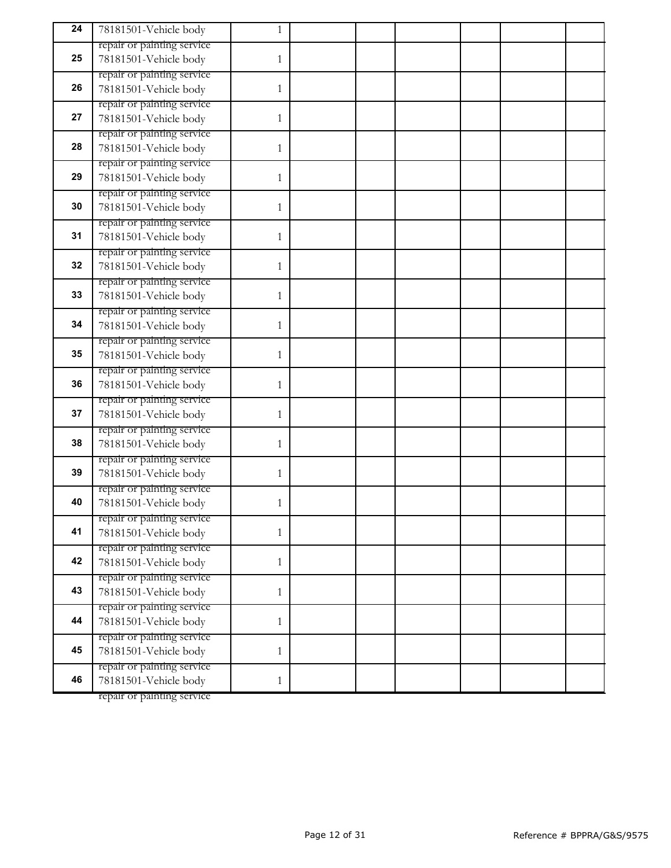| 24 | 78181501-Vehicle body                               | 1            |  |  |  |
|----|-----------------------------------------------------|--------------|--|--|--|
|    | repair or painting service                          |              |  |  |  |
| 25 | 78181501-Vehicle body                               | 1            |  |  |  |
|    | repair or painting service                          |              |  |  |  |
| 26 | 78181501-Vehicle body                               | 1            |  |  |  |
| 27 | repair or painting service<br>78181501-Vehicle body | 1            |  |  |  |
|    | repair or painting service                          |              |  |  |  |
| 28 | 78181501-Vehicle body                               | 1            |  |  |  |
|    | repair or painting service                          |              |  |  |  |
| 29 | 78181501-Vehicle body                               | 1            |  |  |  |
|    | repair or painting service                          |              |  |  |  |
| 30 | 78181501-Vehicle body                               | 1            |  |  |  |
|    | repair or painting service                          |              |  |  |  |
| 31 | 78181501-Vehicle body                               | 1            |  |  |  |
| 32 | repair or painting service                          |              |  |  |  |
|    | 78181501-Vehicle body<br>repair or painting service | 1            |  |  |  |
| 33 | 78181501-Vehicle body                               | 1            |  |  |  |
|    | repair or painting service                          |              |  |  |  |
| 34 | 78181501-Vehicle body                               | 1            |  |  |  |
|    | repair or painting service                          |              |  |  |  |
| 35 | 78181501-Vehicle body                               | 1            |  |  |  |
|    | repair or painting service                          |              |  |  |  |
| 36 | 78181501-Vehicle body                               | 1            |  |  |  |
| 37 | repair or painting service                          |              |  |  |  |
|    | 78181501-Vehicle body<br>repair or painting service | 1            |  |  |  |
| 38 | 78181501-Vehicle body                               | 1            |  |  |  |
|    | repair or painting service                          |              |  |  |  |
| 39 | 78181501-Vehicle body                               | 1            |  |  |  |
|    | repair or painting service                          |              |  |  |  |
| 40 | 78181501-Vehicle body                               | 1            |  |  |  |
|    | repair or painting service                          |              |  |  |  |
| 41 | 78181501-Vehicle body                               | 1            |  |  |  |
| 42 | repair or painting service                          |              |  |  |  |
|    | 78181501-Vehicle body<br>repair or painting service | 1            |  |  |  |
| 43 | 78181501-Vehicle body                               | $\mathbf{1}$ |  |  |  |
|    | repair or painting service                          |              |  |  |  |
| 44 | 78181501-Vehicle body                               | $\mathbf{1}$ |  |  |  |
|    | repair or painting service                          |              |  |  |  |
| 45 | 78181501-Vehicle body                               | 1            |  |  |  |
|    | repair or painting service                          |              |  |  |  |
| 46 | 78181501-Vehicle body                               | $\mathbf{1}$ |  |  |  |

repair or painting service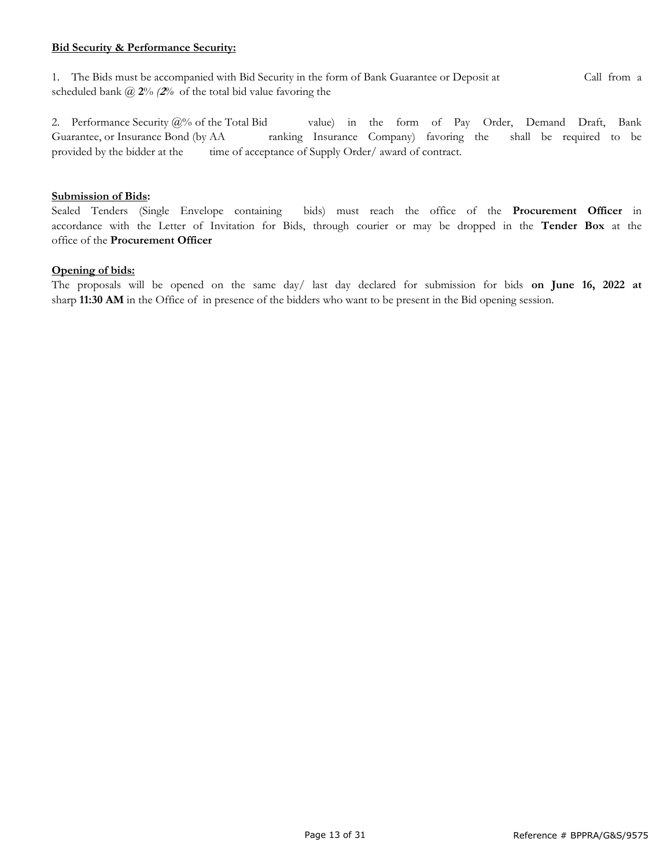#### **Bid Security & Performance Security:**

1. The Bids must be accompanied with Bid Security in the form of Bank Guarantee or Deposit at Call from a scheduled bank @ **2**% *(***2***%* of the total bid value favoring the

2. Performance Security @% of the Total Bid value) in the form of Pay Order, Demand Draft, Bank Guarantee, or Insurance Bond (by AA ranking Insurance Company) favoring the shall be required to be provided by the bidder at the time of acceptance of Supply Order/ award of contract.

#### **Submission of Bids:**

Sealed Tenders (Single Envelope containing bids) must reach the office of the **Procurement Officer** in accordance with the Letter of Invitation for Bids, through courier or may be dropped in the **Tender Box** at the office of the **Procurement Officer**

#### **Opening of bids:**

The proposals will be opened on the same day/ last day declared for submission for bids **on June 16, 2022 at**  sharp **11:30 AM** in the Office of in presence of the bidders who want to be present in the Bid opening session.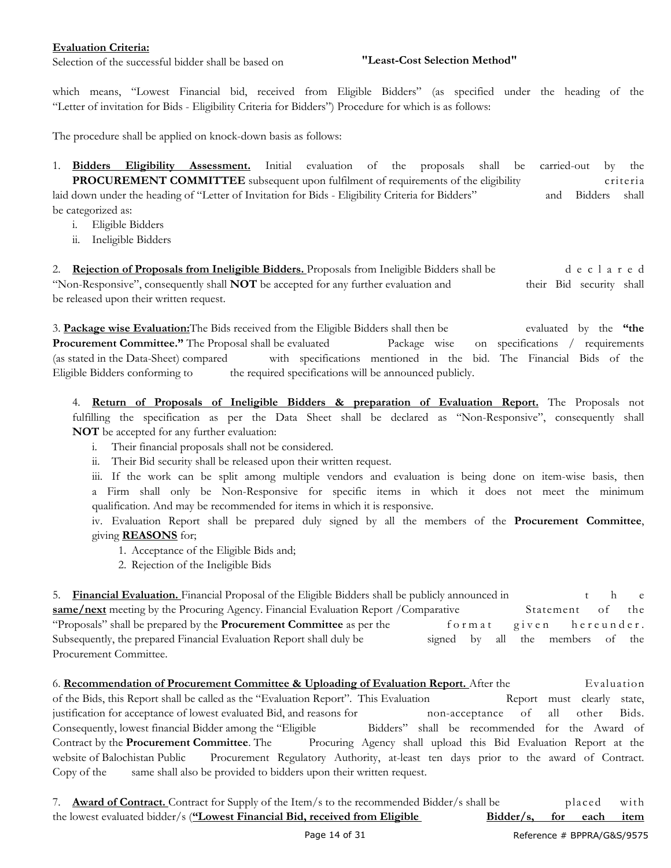#### **Evaluation Criteria:**

Selection of the successful bidder shall be based on

#### **"Least-Cost Selection Method"**

which means, "Lowest Financial bid, received from Eligible Bidders" (as specified under the heading of the "Letter of invitation for Bids - Eligibility Criteria for Bidders") Procedure for which is as follows:

The procedure shall be applied on knock-down basis as follows:

1. **Bidders Eligibility Assessment.** Initial evaluation of the proposals shall be carried-out by the **PROCUREMENT COMMITTEE** subsequent upon fulfilment of requirements of the eligibility criteria laid down under the heading of "Letter of Invitation for Bids - Eligibility Criteria for Bidders" and Bidders shall be categorized as:

- i. Eligible Bidders
- ii. Ineligible Bidders

2. **Rejection of Proposals from Ineligible Bidders.** Proposals from Ineligible Bidders shall be d e c l a r e d "Non-Responsive", consequently shall **NOT** be accepted for any further evaluation and their Bid security shall be released upon their written request.

3. **Package wise Evaluation:**The Bids received from the Eligible Bidders shall then be evaluated by the **"the Procurement Committee."** The Proposal shall be evaluated Package wise on specifications / requirements (as stated in the Data-Sheet) compared with specifications mentioned in the bid. The Financial Bids of the Eligible Bidders conforming to the required specifications will be announced publicly.

4. **Return of Proposals of Ineligible Bidders & preparation of Evaluation Report.** The Proposals not fulfilling the specification as per the Data Sheet shall be declared as "Non-Responsive", consequently shall **NOT** be accepted for any further evaluation:

- i. Their financial proposals shall not be considered.
- ii. Their Bid security shall be released upon their written request.

iii. If the work can be split among multiple vendors and evaluation is being done on item-wise basis, then a Firm shall only be Non-Responsive for specific items in which it does not meet the minimum qualification. And may be recommended for items in which it is responsive.

iv. Evaluation Report shall be prepared duly signed by all the members of the **Procurement Committee**, giving **REASONS** for;

- 1. Acceptance of the Eligible Bids and;
- 2. Rejection of the Ineligible Bids

5. **Financial Evaluation.** Financial Proposal of the Eligible Bidders shall be publicly announced in the e **same/next** meeting by the Procuring Agency. Financial Evaluation Report /Comparative Statement of the "Proposals" shall be prepared by the **Procurement Committee** as per the form at given here under. Subsequently, the prepared Financial Evaluation Report shall duly be signed by all the members of the Procurement Committee.

6. **Recommendation of Procurement Committee & Uploading of Evaluation Report.** After the Evaluation of the Bids, this Report shall be called as the "Evaluation Report". This Evaluation Report must clearly state, justification for acceptance of lowest evaluated Bid, and reasons for non-acceptance of all other Bids. Consequently, lowest financial Bidder among the "Eligible Bidders" shall be recommended for the Award of Contract by the **Procurement Committee**. The Procuring Agency shall upload this Bid Evaluation Report at the website of Balochistan Public Procurement Regulatory Authority, at-least ten days prior to the award of Contract. Copy of the same shall also be provided to bidders upon their written request.

7. **Award of Contract.** Contract for Supply of the Item/s to the recommended Bidder/s shall be placed with the lowest evaluated bidder/s (**"Lowest Financial Bid, received from Eligible Bidder/s, for each item**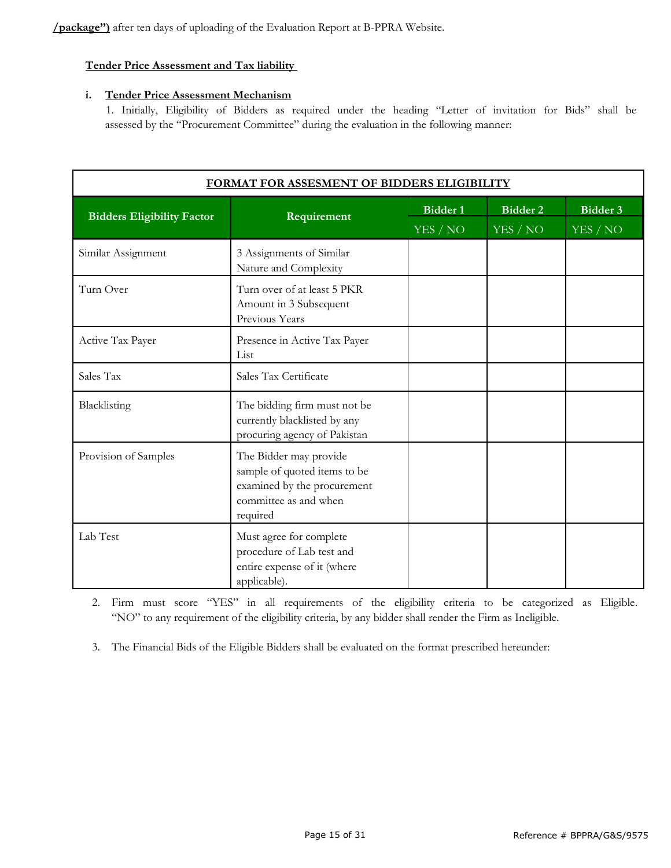**/package'')** after ten days of uploading of the Evaluation Report at B-PPRA Website.

#### **Tender Price Assessment and Tax liability**

#### **i. Tender Price Assessment Mechanism**

1. Initially, Eligibility of Bidders as required under the heading "Letter of invitation for Bids" shall be assessed by the "Procurement Committee" during the evaluation in the following manner:

| FORMAT FOR ASSESMENT OF BIDDERS ELIGIBILITY |                                                                                                                            |                             |                                             |                                      |  |  |  |  |  |
|---------------------------------------------|----------------------------------------------------------------------------------------------------------------------------|-----------------------------|---------------------------------------------|--------------------------------------|--|--|--|--|--|
| <b>Bidders Eligibility Factor</b>           | Requirement                                                                                                                | <b>Bidder 1</b><br>YES / NO | <b>Bidder 2</b><br>${\it YES}$ / ${\it NO}$ | Bidder 3<br>${\it YES}$ / ${\it NO}$ |  |  |  |  |  |
| Similar Assignment                          | 3 Assignments of Similar<br>Nature and Complexity                                                                          |                             |                                             |                                      |  |  |  |  |  |
| Turn Over                                   | Turn over of at least 5 PKR<br>Amount in 3 Subsequent<br>Previous Years                                                    |                             |                                             |                                      |  |  |  |  |  |
| Active Tax Payer                            | Presence in Active Tax Payer<br>List                                                                                       |                             |                                             |                                      |  |  |  |  |  |
| Sales Tax                                   | Sales Tax Certificate                                                                                                      |                             |                                             |                                      |  |  |  |  |  |
| Blacklisting                                | The bidding firm must not be<br>currently blacklisted by any<br>procuring agency of Pakistan                               |                             |                                             |                                      |  |  |  |  |  |
| Provision of Samples                        | The Bidder may provide<br>sample of quoted items to be<br>examined by the procurement<br>committee as and when<br>required |                             |                                             |                                      |  |  |  |  |  |
| Lab Test                                    | Must agree for complete<br>procedure of Lab test and<br>entire expense of it (where<br>applicable).                        |                             |                                             |                                      |  |  |  |  |  |

2. Firm must score "YES" in all requirements of the eligibility criteria to be categorized as Eligible. "NO" to any requirement of the eligibility criteria, by any bidder shall render the Firm as Ineligible.

3. The Financial Bids of the Eligible Bidders shall be evaluated on the format prescribed hereunder: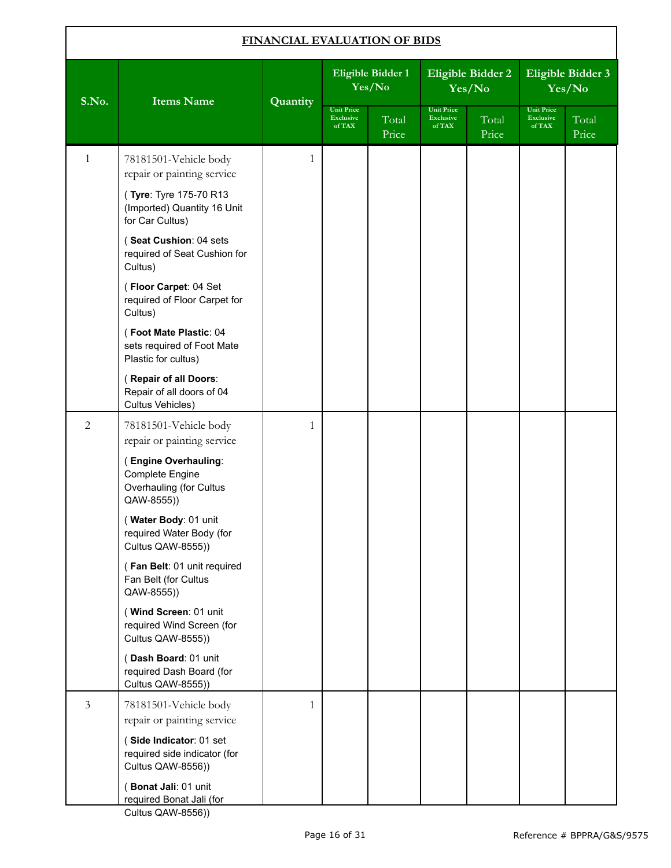| FINANCIAL EVALUATION OF BIDS |                                                                                         |              |                                                 |                             |                                                 |                                    |                                          |                             |
|------------------------------|-----------------------------------------------------------------------------------------|--------------|-------------------------------------------------|-----------------------------|-------------------------------------------------|------------------------------------|------------------------------------------|-----------------------------|
| S.No.                        | <b>Items Name</b>                                                                       | Quantity     |                                                 | Eligible Bidder 1<br>Yes/No |                                                 | <b>Eligible Bidder 2</b><br>Yes/No |                                          | Eligible Bidder 3<br>Yes/No |
|                              |                                                                                         |              | <b>Unit Price</b><br><b>Exclusive</b><br>of TAX | Total<br>Price              | <b>Unit Price</b><br><b>Exclusive</b><br>of TAX | Total<br>Price                     | <b>Unit Price</b><br>Exclusive<br>of TAX | Total<br>Price              |
| $\mathbf{1}$                 | 78181501-Vehicle body<br>repair or painting service                                     | $\mathbf{1}$ |                                                 |                             |                                                 |                                    |                                          |                             |
|                              | (Tyre: Tyre 175-70 R13<br>(Imported) Quantity 16 Unit<br>for Car Cultus)                |              |                                                 |                             |                                                 |                                    |                                          |                             |
|                              | (Seat Cushion: 04 sets<br>required of Seat Cushion for<br>Cultus)                       |              |                                                 |                             |                                                 |                                    |                                          |                             |
|                              | (Floor Carpet: 04 Set<br>required of Floor Carpet for<br>Cultus)                        |              |                                                 |                             |                                                 |                                    |                                          |                             |
|                              | (Foot Mate Plastic: 04<br>sets required of Foot Mate<br>Plastic for cultus)             |              |                                                 |                             |                                                 |                                    |                                          |                             |
|                              | (Repair of all Doors:<br>Repair of all doors of 04<br>Cultus Vehicles)                  |              |                                                 |                             |                                                 |                                    |                                          |                             |
| $\overline{2}$               | 78181501-Vehicle body<br>repair or painting service                                     | $\mathbf{1}$ |                                                 |                             |                                                 |                                    |                                          |                             |
|                              | (Engine Overhauling:<br><b>Complete Engine</b><br>Overhauling (for Cultus<br>QAW-8555)) |              |                                                 |                             |                                                 |                                    |                                          |                             |
|                              | (Water Body: 01 unit<br>required Water Body (for<br>Cultus QAW-8555))                   |              |                                                 |                             |                                                 |                                    |                                          |                             |
|                              | (Fan Belt: 01 unit required<br>Fan Belt (for Cultus<br>QAW-8555))                       |              |                                                 |                             |                                                 |                                    |                                          |                             |
|                              | (Wind Screen: 01 unit<br>required Wind Screen (for<br>Cultus QAW-8555))                 |              |                                                 |                             |                                                 |                                    |                                          |                             |
|                              | (Dash Board: 01 unit<br>required Dash Board (for<br>Cultus QAW-8555))                   |              |                                                 |                             |                                                 |                                    |                                          |                             |
| $\mathfrak{Z}$               | 78181501-Vehicle body<br>repair or painting service                                     | $\mathbf{1}$ |                                                 |                             |                                                 |                                    |                                          |                             |
|                              | (Side Indicator: 01 set<br>required side indicator (for<br>Cultus QAW-8556))            |              |                                                 |                             |                                                 |                                    |                                          |                             |
|                              | (Bonat Jali: 01 unit<br>required Bonat Jali (for                                        |              |                                                 |                             |                                                 |                                    |                                          |                             |

Cultus QAW-8556))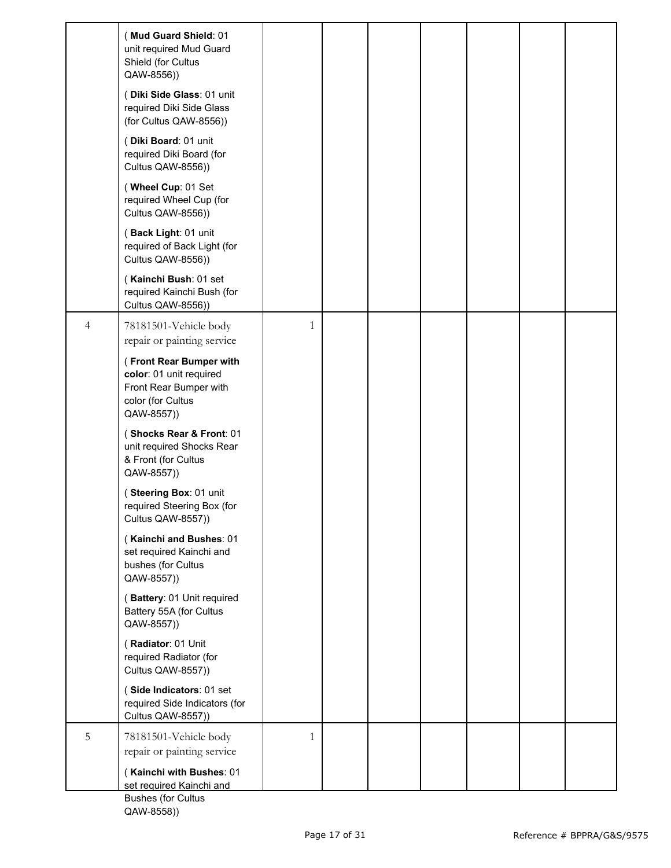|                | (Mud Guard Shield: 01<br>unit required Mud Guard<br>Shield (for Cultus<br>QAW-8556))                            |              |  |  |  |
|----------------|-----------------------------------------------------------------------------------------------------------------|--------------|--|--|--|
|                | (Diki Side Glass: 01 unit<br>required Diki Side Glass<br>(for Cultus QAW-8556))                                 |              |  |  |  |
|                | (Diki Board: 01 unit<br>required Diki Board (for<br>Cultus QAW-8556))                                           |              |  |  |  |
|                | (Wheel Cup: 01 Set<br>required Wheel Cup (for<br>Cultus QAW-8556))                                              |              |  |  |  |
|                | (Back Light: 01 unit<br>required of Back Light (for<br>Cultus QAW-8556))                                        |              |  |  |  |
|                | (Kainchi Bush: 01 set<br>required Kainchi Bush (for<br>Cultus QAW-8556))                                        |              |  |  |  |
| $\overline{4}$ | 78181501-Vehicle body<br>repair or painting service                                                             | $\mathbf{1}$ |  |  |  |
|                | (Front Rear Bumper with<br>color: 01 unit required<br>Front Rear Bumper with<br>color (for Cultus<br>QAW-8557)) |              |  |  |  |
|                | (Shocks Rear & Front: 01<br>unit required Shocks Rear<br>& Front (for Cultus<br>QAW-8557))                      |              |  |  |  |
|                | (Steering Box: 01 unit<br>required Steering Box (for<br>Cultus QAW-8557))                                       |              |  |  |  |
|                | (Kainchi and Bushes: 01<br>set required Kainchi and<br>bushes (for Cultus<br>QAW-8557))                         |              |  |  |  |
|                | (Battery: 01 Unit required<br>Battery 55A (for Cultus<br>QAW-8557))                                             |              |  |  |  |
|                | (Radiator: 01 Unit<br>required Radiator (for<br>Cultus QAW-8557))                                               |              |  |  |  |
|                | (Side Indicators: 01 set<br>required Side Indicators (for<br>Cultus QAW-8557))                                  |              |  |  |  |
| 5              | 78181501-Vehicle body<br>repair or painting service<br>(Kainchi with Bushes: 01<br>set required Kainchi and     | $\mathbf{1}$ |  |  |  |
|                | <b>Bushes (for Cultus)</b>                                                                                      |              |  |  |  |

Bushes (for Cultus QAW-8558))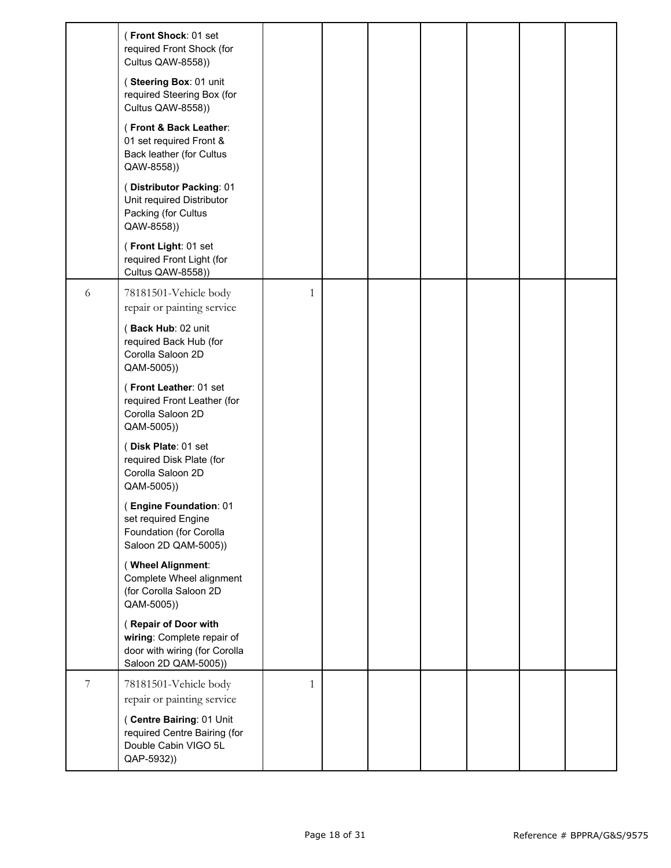|   | (Front Shock: 01 set<br>required Front Shock (for<br>Cultus QAW-8558))                                      |              |  |  |  |
|---|-------------------------------------------------------------------------------------------------------------|--------------|--|--|--|
|   | (Steering Box: 01 unit<br>required Steering Box (for<br>Cultus QAW-8558))                                   |              |  |  |  |
|   | (Front & Back Leather:<br>01 set required Front &<br>Back leather (for Cultus<br>QAW-8558))                 |              |  |  |  |
|   | (Distributor Packing: 01<br>Unit required Distributor<br>Packing (for Cultus<br>QAW-8558))                  |              |  |  |  |
|   | (Front Light: 01 set<br>required Front Light (for<br>Cultus QAW-8558))                                      |              |  |  |  |
| 6 | 78181501-Vehicle body<br>repair or painting service                                                         | $\mathbf{1}$ |  |  |  |
|   | (Back Hub: 02 unit<br>required Back Hub (for<br>Corolla Saloon 2D<br>QAM-5005))                             |              |  |  |  |
|   | (Front Leather: 01 set<br>required Front Leather (for<br>Corolla Saloon 2D<br>QAM-5005))                    |              |  |  |  |
|   | (Disk Plate: 01 set<br>required Disk Plate (for<br>Corolla Saloon 2D<br>QAM-5005))                          |              |  |  |  |
|   | <b>Engine Foundation: 01</b><br>set required Engine<br>Foundation (for Corolla<br>Saloon 2D QAM-5005))      |              |  |  |  |
|   | (Wheel Alignment:<br>Complete Wheel alignment<br>(for Corolla Saloon 2D<br>QAM-5005))                       |              |  |  |  |
|   | (Repair of Door with<br>wiring: Complete repair of<br>door with wiring (for Corolla<br>Saloon 2D QAM-5005)) |              |  |  |  |
| 7 | 78181501-Vehicle body<br>repair or painting service                                                         | $\mathbf{1}$ |  |  |  |
|   | (Centre Bairing: 01 Unit<br>required Centre Bairing (for<br>Double Cabin VIGO 5L<br>QAP-5932))              |              |  |  |  |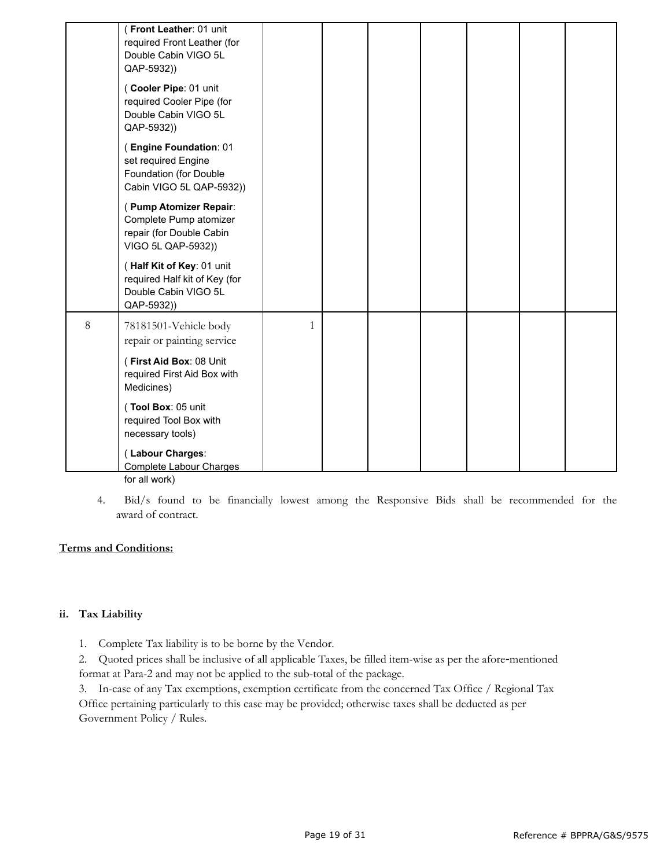|       | (Front Leather: 01 unit<br>required Front Leather (for<br>Double Cabin VIGO 5L<br>QAP-5932))<br>(Cooler Pipe: 01 unit<br>required Cooler Pipe (for<br>Double Cabin VIGO 5L |   |  |  |  |
|-------|----------------------------------------------------------------------------------------------------------------------------------------------------------------------------|---|--|--|--|
|       | QAP-5932))                                                                                                                                                                 |   |  |  |  |
|       | (Engine Foundation: 01<br>set required Engine<br>Foundation (for Double<br>Cabin VIGO 5L QAP-5932))                                                                        |   |  |  |  |
|       | (Pump Atomizer Repair:<br>Complete Pump atomizer<br>repair (for Double Cabin<br>VIGO 5L QAP-5932))                                                                         |   |  |  |  |
|       | (Half Kit of Key: 01 unit<br>required Half kit of Key (for<br>Double Cabin VIGO 5L<br>QAP-5932))                                                                           |   |  |  |  |
| $8\,$ | 78181501-Vehicle body<br>repair or painting service                                                                                                                        | 1 |  |  |  |
|       | (First Aid Box: 08 Unit<br>required First Aid Box with<br>Medicines)                                                                                                       |   |  |  |  |
|       | (Tool Box: 05 unit<br>required Tool Box with<br>necessary tools)                                                                                                           |   |  |  |  |
|       | (Labour Charges:<br><b>Complete Labour Charges</b>                                                                                                                         |   |  |  |  |

for all work)

4. Bid/s found to be financially lowest among the Responsive Bids shall be recommended for the award of contract.

#### **Terms and Conditions:**

#### **ii. Tax Liability**

1. Complete Tax liability is to be borne by the Vendor.

2. Quoted prices shall be inclusive of all applicable Taxes, be filled item-wise as per the afore-mentioned format at Para-2 and may not be applied to the sub-total of the package.

3. In-case of any Tax exemptions, exemption certificate from the concerned Tax Office / Regional Tax Office pertaining particularly to this case may be provided; otherwise taxes shall be deducted as per Government Policy / Rules.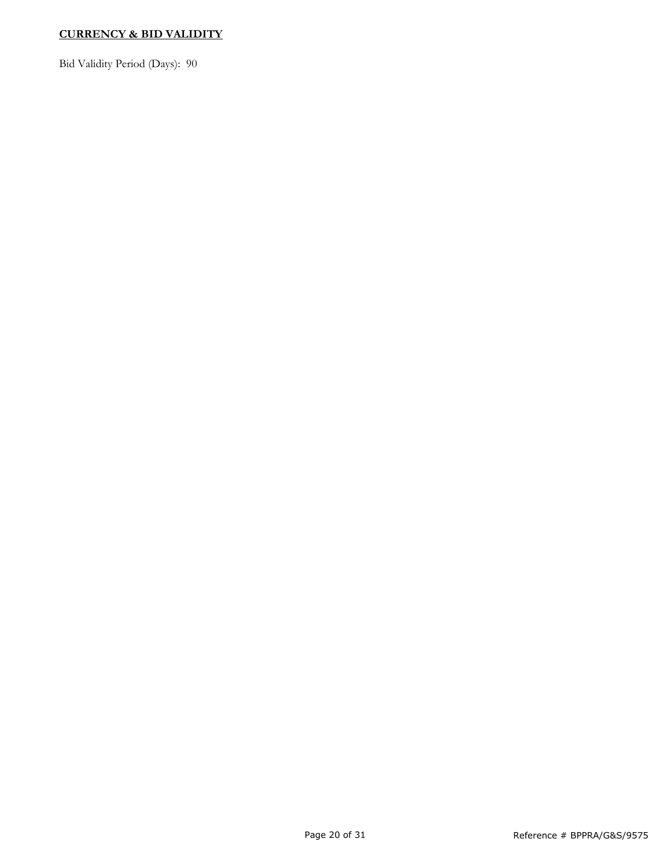# **CURRENCY & BID VALIDITY**

Bid Validity Period (Days): 90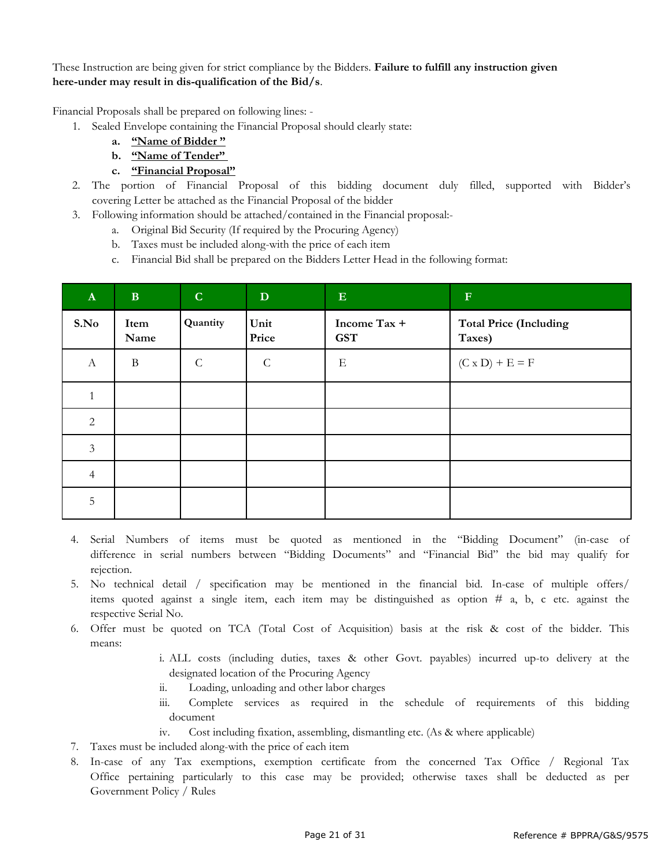#### These Instruction are being given for strict compliance by the Bidders. **Failure to fulfill any instruction given here-under may result in dis-qualification of the Bid/s**.

Financial Proposals shall be prepared on following lines: -

- 1. Sealed Envelope containing the Financial Proposal should clearly state:
	- **a. "Name of Bidder "**
	- **b. "Name of Tender"**
	- **c. "Financial Proposal"**
- 2. The portion of Financial Proposal of this bidding document duly filled, supported with Bidder's covering Letter be attached as the Financial Proposal of the bidder
- 3. Following information should be attached/contained in the Financial proposal:
	- a. Original Bid Security (If required by the Procuring Agency)
	- b. Taxes must be included along-with the price of each item
	- c. Financial Bid shall be prepared on the Bidders Letter Head in the following format:

| $\mathbf{A}$     | $\mathbf{B}$ | $\mathbf C$  | D             | ${\bf E}$                  | $\mathbf F$                             |
|------------------|--------------|--------------|---------------|----------------------------|-----------------------------------------|
| S.No             | Item<br>Name | Quantity     | Unit<br>Price | Income Tax +<br><b>GST</b> | <b>Total Price (Including</b><br>Taxes) |
| $\boldsymbol{A}$ | $\bf{B}$     | $\mathsf{C}$ | $\mathcal{C}$ | E                          | $(C \times D) + E = F$                  |
|                  |              |              |               |                            |                                         |
| $\sqrt{2}$       |              |              |               |                            |                                         |
| $\mathfrak{Z}$   |              |              |               |                            |                                         |
| $\overline{4}$   |              |              |               |                            |                                         |
| 5                |              |              |               |                            |                                         |

- 4. Serial Numbers of items must be quoted as mentioned in the "Bidding Document" (in-case of difference in serial numbers between "Bidding Documents" and "Financial Bid" the bid may qualify for rejection.
- 5. No technical detail / specification may be mentioned in the financial bid. In-case of multiple offers/ items quoted against a single item, each item may be distinguished as option # a, b, c etc. against the respective Serial No.
- 6. Offer must be quoted on TCA (Total Cost of Acquisition) basis at the risk & cost of the bidder. This means:
	- i. ALL costs (including duties, taxes & other Govt. payables) incurred up-to delivery at the designated location of the Procuring Agency
	- ii. Loading, unloading and other labor charges
	- iii. Complete services as required in the schedule of requirements of this bidding document
	- iv. Cost including fixation, assembling, dismantling etc. (As & where applicable)
- 7. Taxes must be included along-with the price of each item
- 8. In-case of any Tax exemptions, exemption certificate from the concerned Tax Office / Regional Tax Office pertaining particularly to this case may be provided; otherwise taxes shall be deducted as per Government Policy / Rules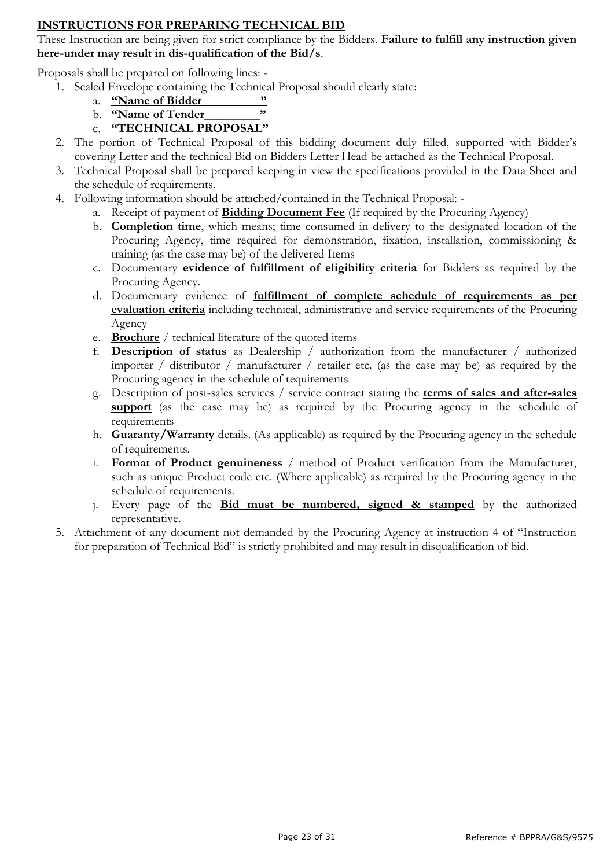# **INSTRUCTIONS FOR PREPARING TECHNICAL BID**

These Instruction are being given for strict compliance by the Bidders. **Failure to fulfill any instruction given here-under may result in dis-qualification of the Bid/s**.

Proposals shall be prepared on following lines: -

- 1. Sealed Envelope containing the Technical Proposal should clearly state:
	- a. <u>**"Name of Bidder**"<br> **b. "Name of Tender**"</u>
	- b. **"Name of Tender\_\_\_\_\_\_\_\_\_"**
	- c. **"TECHNICAL PROPOSAL"**
- 2. The portion of Technical Proposal of this bidding document duly filled, supported with Bidder's covering Letter and the technical Bid on Bidders Letter Head be attached as the Technical Proposal.
- 3. Technical Proposal shall be prepared keeping in view the specifications provided in the Data Sheet and the schedule of requirements.
- 4. Following information should be attached/contained in the Technical Proposal:
	- a. Receipt of payment of **Bidding Document Fee** (If required by the Procuring Agency)
	- b. **Completion time**, which means; time consumed in delivery to the designated location of the Procuring Agency, time required for demonstration, fixation, installation, commissioning & training (as the case may be) of the delivered Items
	- c. Documentary **evidence of fulfillment of eligibility criteria** for Bidders as required by the Procuring Agency.
	- d. Documentary evidence of **fulfillment of complete schedule of requirements as per evaluation criteria** including technical, administrative and service requirements of the Procuring Agency
	- e. **Brochure** / technical literature of the quoted items
	- f. **Description of status** as Dealership / authorization from the manufacturer / authorized importer / distributor / manufacturer / retailer etc. (as the case may be) as required by the Procuring agency in the schedule of requirements
	- g. Description of post-sales services / service contract stating the **terms of sales and after-sales support** (as the case may be) as required by the Procuring agency in the schedule of requirements
	- h. **Guaranty/Warranty** details. (As applicable) as required by the Procuring agency in the schedule of requirements.
	- i. **Format of Product genuineness** / method of Product verification from the Manufacturer, such as unique Product code etc. (Where applicable) as required by the Procuring agency in the schedule of requirements.
	- j. Every page of the **Bid must be numbered, signed & stamped** by the authorized representative.
- 5. Attachment of any document not demanded by the Procuring Agency at instruction 4 of "Instruction for preparation of Technical Bid" is strictly prohibited and may result in disqualification of bid.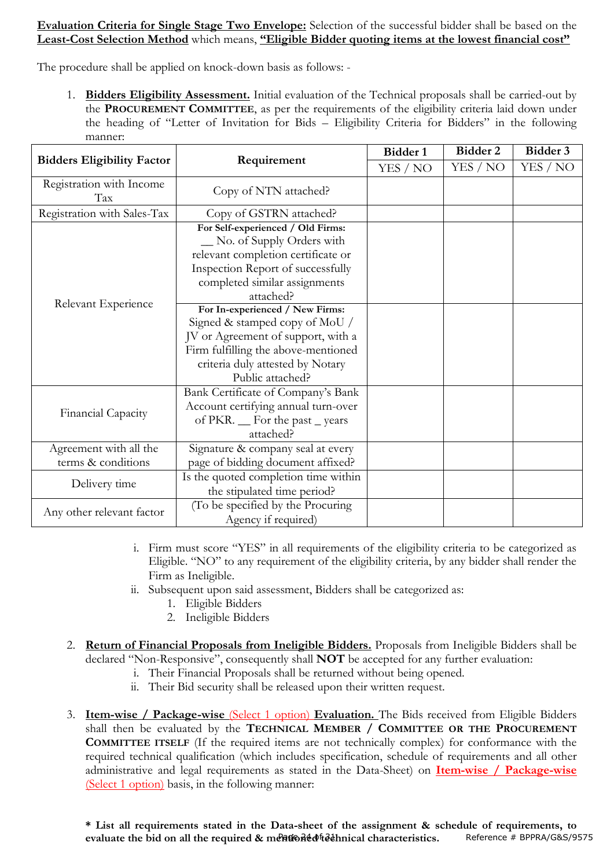# **Evaluation Criteria for Single Stage Two Envelope:** Selection of the successful bidder shall be based on the **Least-Cost Selection Method** which means, **"Eligible Bidder quoting items at the lowest financial cost"**

The procedure shall be applied on knock-down basis as follows: -

1. **Bidders Eligibility Assessment.** Initial evaluation of the Technical proposals shall be carried-out by the **PROCUREMENT COMMITTEE**, as per the requirements of the eligibility criteria laid down under the heading of "Letter of Invitation for Bids – Eligibility Criteria for Bidders" in the following manner:

|                                              |                                                                                                                                                                                                                                                                                                                                             | Bidder 1 | Bidder 2 | Bidder 3 |
|----------------------------------------------|---------------------------------------------------------------------------------------------------------------------------------------------------------------------------------------------------------------------------------------------------------------------------------------------------------------------------------------------|----------|----------|----------|
| <b>Bidders Eligibility Factor</b>            | Requirement                                                                                                                                                                                                                                                                                                                                 | YES / NO | YES / NO | YES / NO |
| Registration with Income<br>Tax              | Copy of NTN attached?                                                                                                                                                                                                                                                                                                                       |          |          |          |
| Registration with Sales-Tax                  | Copy of GSTRN attached?                                                                                                                                                                                                                                                                                                                     |          |          |          |
| Relevant Experience                          | For Self-experienced / Old Firms:<br>_ No. of Supply Orders with<br>relevant completion certificate or<br>Inspection Report of successfully<br>completed similar assignments<br>attached?<br>For In-experienced / New Firms:<br>Signed & stamped copy of MoU /<br>JV or Agreement of support, with a<br>Firm fulfilling the above-mentioned |          |          |          |
|                                              | criteria duly attested by Notary<br>Public attached?                                                                                                                                                                                                                                                                                        |          |          |          |
| Financial Capacity                           | Bank Certificate of Company's Bank<br>Account certifying annual turn-over<br>of PKR. _ For the past _ years<br>attached?                                                                                                                                                                                                                    |          |          |          |
| Agreement with all the<br>terms & conditions | Signature & company seal at every<br>page of bidding document affixed?                                                                                                                                                                                                                                                                      |          |          |          |
| Delivery time                                | Is the quoted completion time within<br>the stipulated time period?                                                                                                                                                                                                                                                                         |          |          |          |
| Any other relevant factor                    | (To be specified by the Procuring<br>Agency if required)                                                                                                                                                                                                                                                                                    |          |          |          |

- i. Firm must score "YES" in all requirements of the eligibility criteria to be categorized as Eligible. "NO" to any requirement of the eligibility criteria, by any bidder shall render the Firm as Ineligible.
- ii. Subsequent upon said assessment, Bidders shall be categorized as:
	- 1. Eligible Bidders
	- 2. Ineligible Bidders
- 2. **Return of Financial Proposals from Ineligible Bidders.** Proposals from Ineligible Bidders shall be declared "Non-Responsive", consequently shall **NOT** be accepted for any further evaluation:
	- i. Their Financial Proposals shall be returned without being opened.
	- ii. Their Bid security shall be released upon their written request.
- 3. **Item-wise / Package-wise** (Select 1 option) **Evaluation.** The Bids received from Eligible Bidders shall then be evaluated by the **TECHNICAL MEMBER / COMMITTEE OR THE PROCUREMENT COMMITTEE ITSELF** (If the required items are not technically complex) for conformance with the required technical qualification (which includes specification, schedule of requirements and all other administrative and legal requirements as stated in the Data-Sheet) on **Item-wise / Package-wise** (Select 1 option) basis, in the following manner: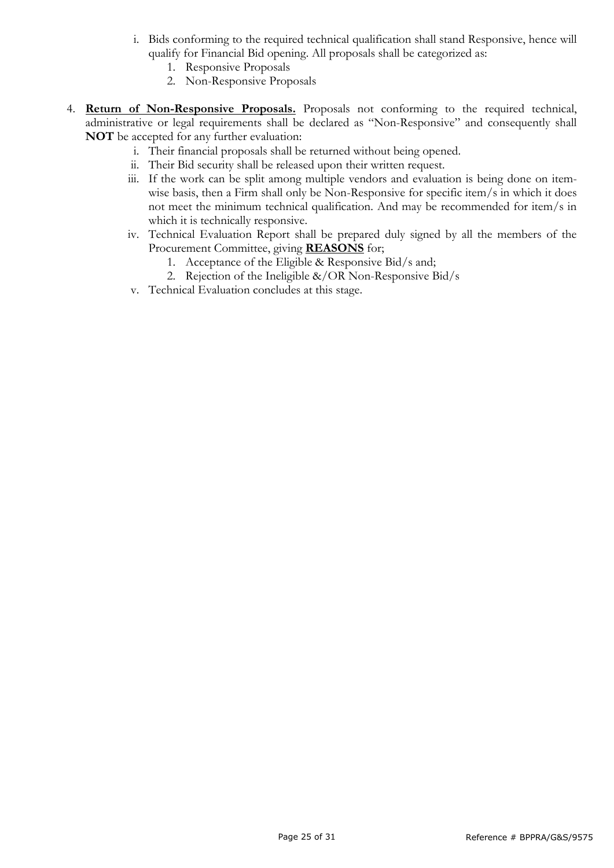- i. Bids conforming to the required technical qualification shall stand Responsive, hence will qualify for Financial Bid opening. All proposals shall be categorized as:
	- 1. Responsive Proposals
	- 2. Non-Responsive Proposals
- 4. **Return of Non-Responsive Proposals.** Proposals not conforming to the required technical, administrative or legal requirements shall be declared as "Non-Responsive" and consequently shall **NOT** be accepted for any further evaluation:
	- i. Their financial proposals shall be returned without being opened.
	- ii. Their Bid security shall be released upon their written request.
	- iii. If the work can be split among multiple vendors and evaluation is being done on itemwise basis, then a Firm shall only be Non-Responsive for specific item/s in which it does not meet the minimum technical qualification. And may be recommended for item/s in which it is technically responsive.
	- iv. Technical Evaluation Report shall be prepared duly signed by all the members of the Procurement Committee, giving **REASONS** for;
		- 1. Acceptance of the Eligible & Responsive Bid/s and;
		- 2. Rejection of the Ineligible &/OR Non-Responsive Bid/s
	- v. Technical Evaluation concludes at this stage.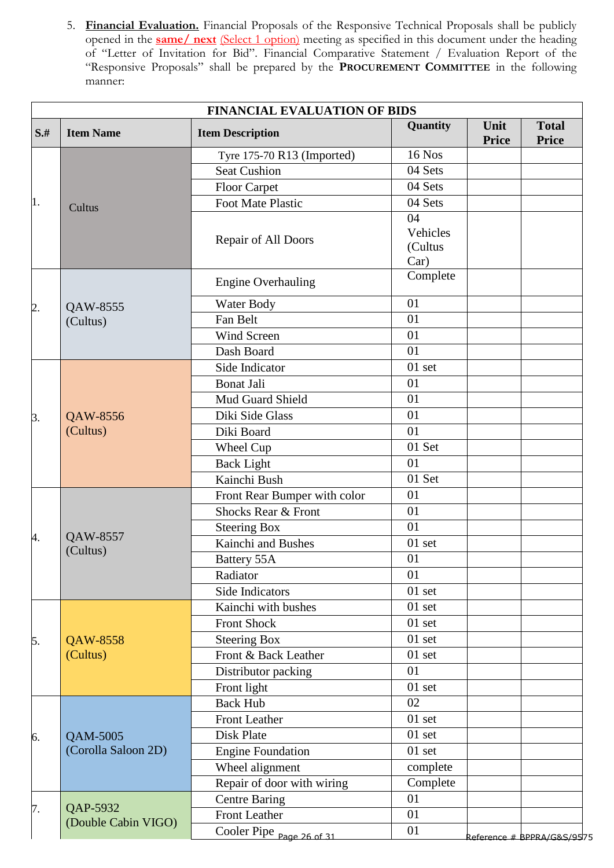5. **Financial Evaluation.** Financial Proposals of the Responsive Technical Proposals shall be publicly opened in the **same/ next** (Select 1 option) meeting as specified in this document under the heading of "Letter of Invitation for Bid". Financial Comparative Statement / Evaluation Report of the "Responsive Proposals" shall be prepared by the **PROCUREMENT COMMITTEE** in the following manner:

|        |                     |                              | Quantity | Unit                                    | <b>Total</b> |
|--------|---------------------|------------------------------|----------|-----------------------------------------|--------------|
| $S$ .# | <b>Item Name</b>    | <b>Item Description</b>      |          | <b>Price</b>                            | <b>Price</b> |
|        |                     | Tyre 175-70 R13 (Imported)   | 16 Nos   |                                         |              |
|        |                     | <b>Seat Cushion</b>          | 04 Sets  |                                         |              |
|        |                     | <b>Floor Carpet</b>          | 04 Sets  |                                         |              |
|        | Cultus              | Foot Mate Plastic            | 04 Sets  |                                         |              |
|        |                     |                              | 04       |                                         |              |
|        |                     | Repair of All Doors          | Vehicles |                                         |              |
|        |                     |                              | (Cultus  |                                         |              |
|        |                     |                              | Car)     |                                         |              |
|        |                     | <b>Engine Overhauling</b>    | Complete |                                         |              |
| 2.     | QAW-8555            | Water Body                   | 01       |                                         |              |
|        | (Cultus)            | Fan Belt                     | 01       |                                         |              |
|        |                     | Wind Screen                  | 01       |                                         |              |
|        |                     | Dash Board                   | 01       |                                         |              |
|        |                     | Side Indicator               | $01$ set |                                         |              |
|        |                     | <b>Bonat Jali</b>            | 01       |                                         |              |
|        |                     | Mud Guard Shield             | 01       |                                         |              |
| 3.     | QAW-8556            | Diki Side Glass              | 01       |                                         |              |
|        | (Cultus)            | Diki Board                   | 01       |                                         |              |
|        |                     | Wheel Cup                    | 01 Set   |                                         |              |
|        |                     | <b>Back Light</b>            | 01       |                                         |              |
|        |                     | Kainchi Bush                 | 01 Set   |                                         |              |
|        |                     | Front Rear Bumper with color | 01       |                                         |              |
|        |                     | Shocks Rear & Front          | 01       |                                         |              |
|        |                     | <b>Steering Box</b>          | 01       |                                         |              |
| 4.     | QAW-8557            | Kainchi and Bushes           | 01 set   |                                         |              |
|        | (Cultus)            | Battery 55A                  | 01       |                                         |              |
|        |                     | Radiator                     | 01       |                                         |              |
|        |                     | Side Indicators              | $01$ set |                                         |              |
|        |                     | Kainchi with bushes          | 01 set   |                                         |              |
|        |                     | <b>Front Shock</b>           | 01 set   |                                         |              |
| 5.     | QAW-8558            | <b>Steering Box</b>          | $01$ set |                                         |              |
|        | (Cultus)            | Front & Back Leather         | $01$ set |                                         |              |
|        |                     | Distributor packing          | 01       |                                         |              |
|        |                     | Front light                  | 01 set   |                                         |              |
|        |                     | <b>Back Hub</b>              | 02       |                                         |              |
|        |                     | <b>Front Leather</b>         | 01 set   |                                         |              |
| 6.     | QAM-5005            | Disk Plate                   | 01 set   |                                         |              |
|        | (Corolla Saloon 2D) | <b>Engine Foundation</b>     | $01$ set |                                         |              |
|        |                     | Wheel alignment              | complete |                                         |              |
|        |                     | Repair of door with wiring   | Complete |                                         |              |
|        |                     | <b>Centre Baring</b>         | 01       |                                         |              |
| 7.     | QAP-5932            | <b>Front Leather</b>         | 01       |                                         |              |
|        | (Double Cabin VIGO) | Cooler Pipe Page 26 of 31    | 01       | <u> Reference # BPPRA/G&amp;S/95</u> 75 |              |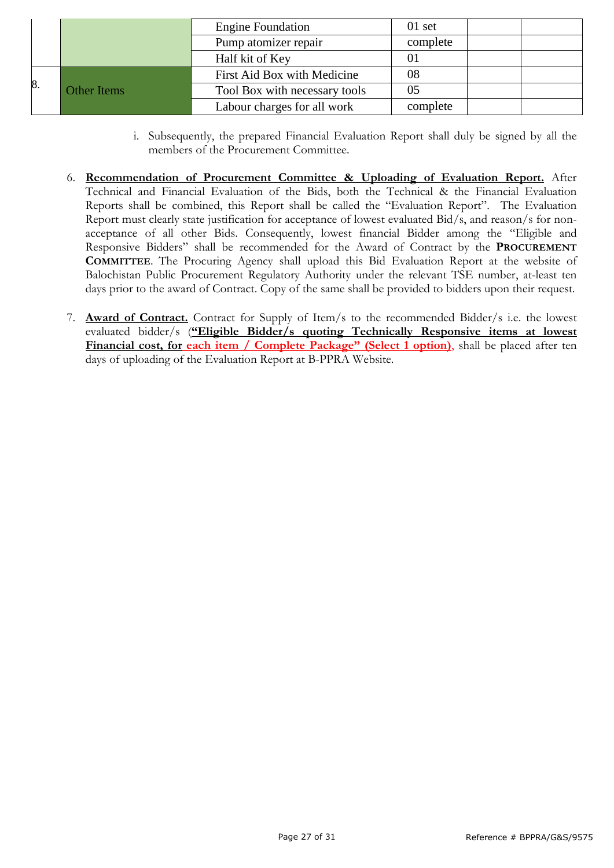|    |                    | <b>Engine Foundation</b>      | $01$ set |  |
|----|--------------------|-------------------------------|----------|--|
|    |                    | Pump atomizer repair          | complete |  |
|    |                    | Half kit of Key               |          |  |
| 8. | <b>Other Items</b> | First Aid Box with Medicine   | 08       |  |
|    |                    | Tool Box with necessary tools | 05       |  |
|    |                    | Labour charges for all work   | complete |  |

- i. Subsequently, the prepared Financial Evaluation Report shall duly be signed by all the members of the Procurement Committee.
- 6. **Recommendation of Procurement Committee & Uploading of Evaluation Report.** After Technical and Financial Evaluation of the Bids, both the Technical & the Financial Evaluation Reports shall be combined, this Report shall be called the "Evaluation Report". The Evaluation Report must clearly state justification for acceptance of lowest evaluated Bid/s, and reason/s for nonacceptance of all other Bids. Consequently, lowest financial Bidder among the "Eligible and Responsive Bidders" shall be recommended for the Award of Contract by the **PROCUREMENT COMMITTEE**. The Procuring Agency shall upload this Bid Evaluation Report at the website of Balochistan Public Procurement Regulatory Authority under the relevant TSE number, at-least ten days prior to the award of Contract. Copy of the same shall be provided to bidders upon their request.
- 7. **Award of Contract.** Contract for Supply of Item/s to the recommended Bidder/s i.e. the lowest evaluated bidder/s (**"Eligible Bidder/s quoting Technically Responsive items at lowest Financial cost, for each item / Complete Package" (Select 1 option)**, shall be placed after ten days of uploading of the Evaluation Report at B-PPRA Website.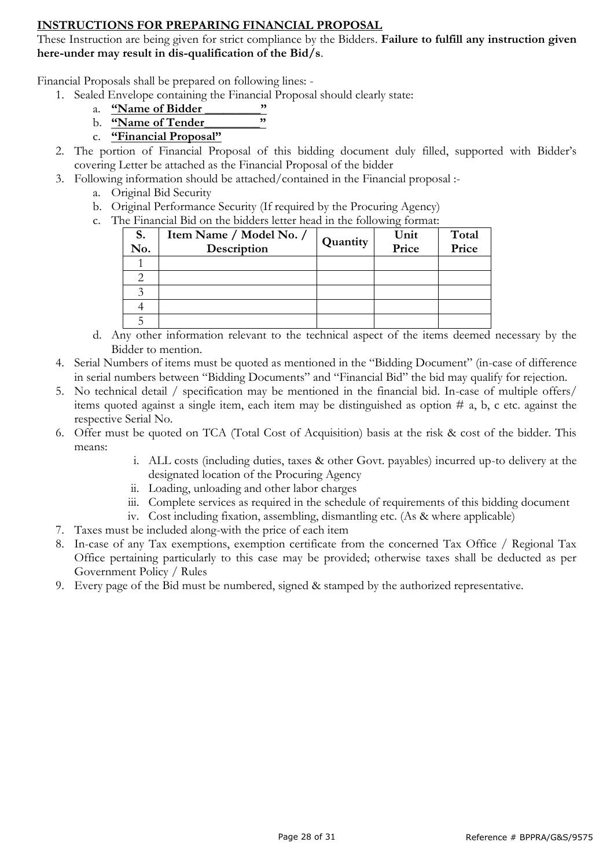# **INSTRUCTIONS FOR PREPARING FINANCIAL PROPOSAL**

These Instruction are being given for strict compliance by the Bidders. **Failure to fulfill any instruction given here-under may result in dis-qualification of the Bid/s**.

Financial Proposals shall be prepared on following lines: -

- 1. Sealed Envelope containing the Financial Proposal should clearly state:
	- a. <u>**"Name of Bidder**"<br>
	b. **"Name of Tender**"</u>
	- b. **"Name of Tender\_\_\_\_\_\_\_\_\_"**
	- c. **"Financial Proposal"**
- 2. The portion of Financial Proposal of this bidding document duly filled, supported with Bidder's covering Letter be attached as the Financial Proposal of the bidder
- 3. Following information should be attached/contained in the Financial proposal :
	- a. Original Bid Security
	- b. Original Performance Security (If required by the Procuring Agency)
	- c. The Financial Bid on the bidders letter head in the following format:

| S.<br>No. | Item Name / Model No. /<br>Description | Quantity | Unit<br>Price | Total<br>Price |
|-----------|----------------------------------------|----------|---------------|----------------|
|           |                                        |          |               |                |
|           |                                        |          |               |                |
| っ         |                                        |          |               |                |
|           |                                        |          |               |                |
|           |                                        |          |               |                |

- d. Any other information relevant to the technical aspect of the items deemed necessary by the Bidder to mention.
- 4. Serial Numbers of items must be quoted as mentioned in the "Bidding Document" (in-case of difference in serial numbers between "Bidding Documents" and "Financial Bid" the bid may qualify for rejection.
- 5. No technical detail / specification may be mentioned in the financial bid. In-case of multiple offers/ items quoted against a single item, each item may be distinguished as option  $\#$  a, b, c etc. against the respective Serial No.
- 6. Offer must be quoted on TCA (Total Cost of Acquisition) basis at the risk & cost of the bidder. This means:
	- i. ALL costs (including duties, taxes & other Govt. payables) incurred up-to delivery at the designated location of the Procuring Agency
	- ii. Loading, unloading and other labor charges
	- iii. Complete services as required in the schedule of requirements of this bidding document
	- iv. Cost including fixation, assembling, dismantling etc. (As & where applicable)
- 7. Taxes must be included along-with the price of each item
- 8. In-case of any Tax exemptions, exemption certificate from the concerned Tax Office / Regional Tax Office pertaining particularly to this case may be provided; otherwise taxes shall be deducted as per Government Policy / Rules
- 9. Every page of the Bid must be numbered, signed & stamped by the authorized representative.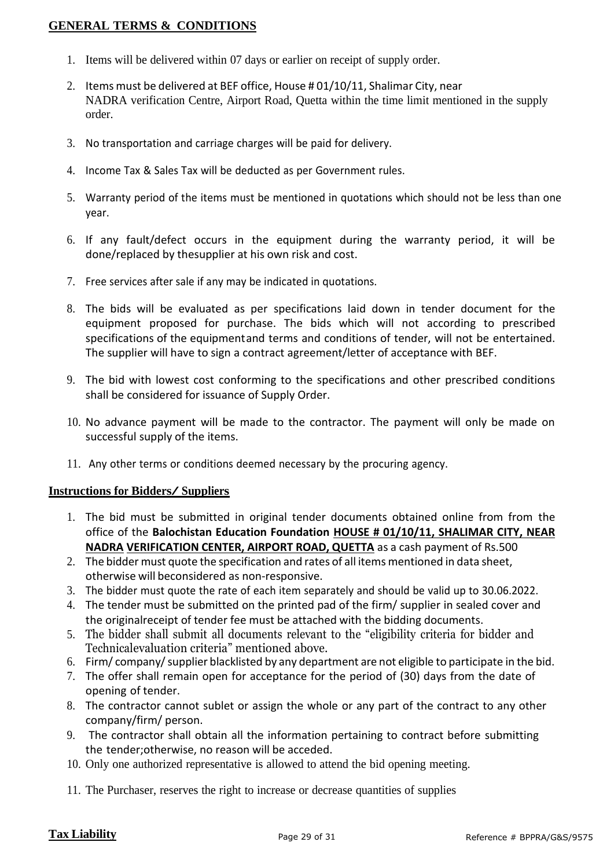# **GENERAL TERMS & CONDITIONS**

- 1. Items will be delivered within 07 days or earlier on receipt of supply order.
- 2. Items must be delivered at BEF office, House # 01/10/11, Shalimar City, near NADRA verification Centre, Airport Road, Quetta within the time limit mentioned in the supply order.
- 3. No transportation and carriage charges will be paid for delivery.
- 4. Income Tax & Sales Tax will be deducted as per Government rules.
- 5. Warranty period of the items must be mentioned in quotations which should not be less than one year.
- 6. If any fault/defect occurs in the equipment during the warranty period, it will be done/replaced by thesupplier at his own risk and cost.
- 7. Free services after sale if any may be indicated in quotations.
- 8. The bids will be evaluated as per specifications laid down in tender document for the equipment proposed for purchase. The bids which will not according to prescribed specifications of the equipmentand terms and conditions of tender, will not be entertained. The supplier will have to sign a contract agreement/letter of acceptance with BEF.
- 9. The bid with lowest cost conforming to the specifications and other prescribed conditions shall be considered for issuance of Supply Order.
- 10. No advance payment will be made to the contractor. The payment will only be made on successful supply of the items.
- 11. Any other terms or conditions deemed necessary by the procuring agency.

## **Instructions for Bidders/ Suppliers**

- 1. The bid must be submitted in original tender documents obtained online from from the office of the **Balochistan Education Foundation HOUSE # 01/10/11, SHALIMAR CITY, NEAR NADRA VERIFICATION CENTER, AIRPORT ROAD, QUETTA** as a cash payment of Rs.500
- 2. The bidder must quote the specification and rates of all items mentioned in data sheet, otherwise will beconsidered as non-responsive.
- 3. The bidder must quote the rate of each item separately and should be valid up to 30.06.2022.
- 4. The tender must be submitted on the printed pad of the firm/ supplier in sealed cover and the originalreceipt of tender fee must be attached with the bidding documents.
- 5. The bidder shall submit all documents relevant to the "eligibility criteria for bidder and Technicalevaluation criteria" mentioned above.
- 6. Firm/ company/supplier blacklisted by any department are not eligible to participate in the bid.
- 7. The offer shall remain open for acceptance for the period of (30) days from the date of opening of tender.
- 8. The contractor cannot sublet or assign the whole or any part of the contract to any other company/firm/ person.
- 9. The contractor shall obtain all the information pertaining to contract before submitting the tender;otherwise, no reason will be acceded.
- 10. Only one authorized representative is allowed to attend the bid opening meeting.
- 11. The Purchaser, reserves the right to increase or decrease quantities of supplies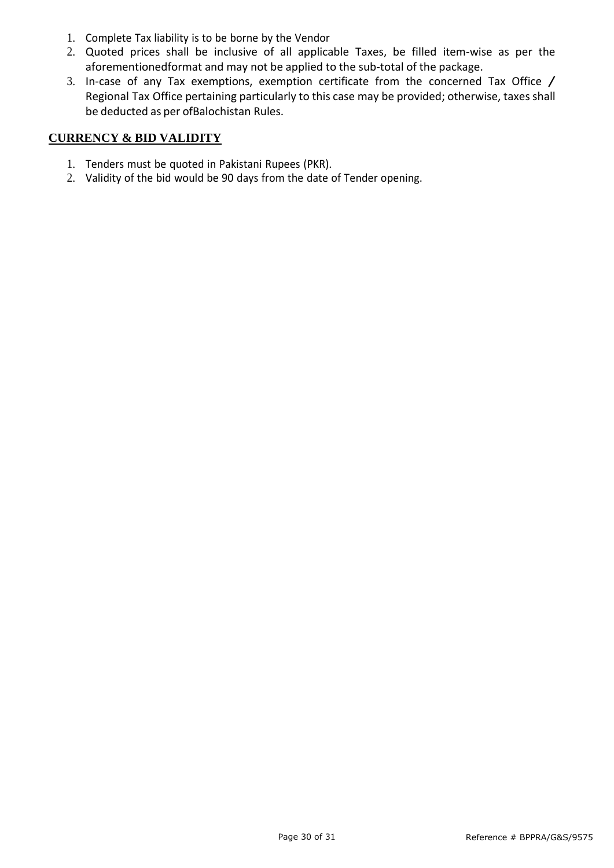- 1. Complete Tax liability is to be borne by the Vendor
- 2. Quoted prices shall be inclusive of all applicable Taxes, be filled item-wise as per the aforementionedformat and may not be applied to the sub-total of the package.
- 3. In-case of any Tax exemptions, exemption certificate from the concerned Tax Office / Regional Tax Office pertaining particularly to this case may be provided; otherwise, taxes shall be deducted as per ofBalochistan Rules.

# **CURRENCY & BID VALIDITY**

- 1. Tenders must be quoted in Pakistani Rupees (PKR).
- 2. Validity of the bid would be 90 days from the date of Tender opening.